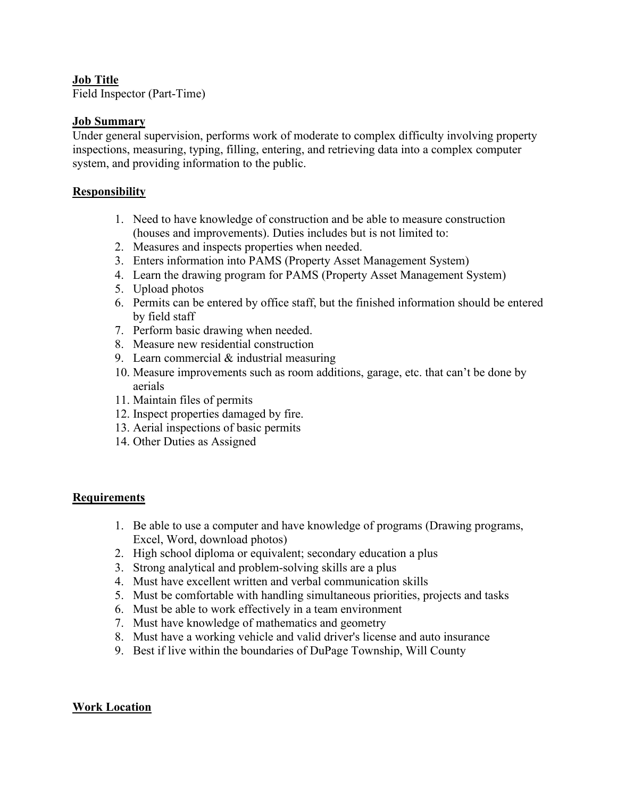# **Job Title**

Field Inspector (Part-Time)

# **Job Summary**

Under general supervision, performs work of moderate to complex difficulty involving property inspections, measuring, typing, filling, entering, and retrieving data into a complex computer system, and providing information to the public.

## **Responsibility**

- 1. Need to have knowledge of construction and be able to measure construction (houses and improvements). Duties includes but is not limited to:
- 2. Measures and inspects properties when needed.
- 3. Enters information into PAMS (Property Asset Management System)
- 4. Learn the drawing program for PAMS (Property Asset Management System)
- 5. Upload photos
- 6. Permits can be entered by office staff, but the finished information should be entered by field staff
- 7. Perform basic drawing when needed.
- 8. Measure new residential construction
- 9. Learn commercial & industrial measuring
- 10. Measure improvements such as room additions, garage, etc. that can't be done by aerials
- 11. Maintain files of permits
- 12. Inspect properties damaged by fire.
- 13. Aerial inspections of basic permits
- 14. Other Duties as Assigned

## **Requirements**

- 1. Be able to use a computer and have knowledge of programs (Drawing programs, Excel, Word, download photos)
- 2. High school diploma or equivalent; secondary education a plus
- 3. Strong analytical and problem-solving skills are a plus
- 4. Must have excellent written and verbal communication skills
- 5. Must be comfortable with handling simultaneous priorities, projects and tasks
- 6. Must be able to work effectively in a team environment
- 7. Must have knowledge of mathematics and geometry
- 8. Must have a working vehicle and valid driver's license and auto insurance
- 9. Best if live within the boundaries of DuPage Township, Will County

#### **Work Location**